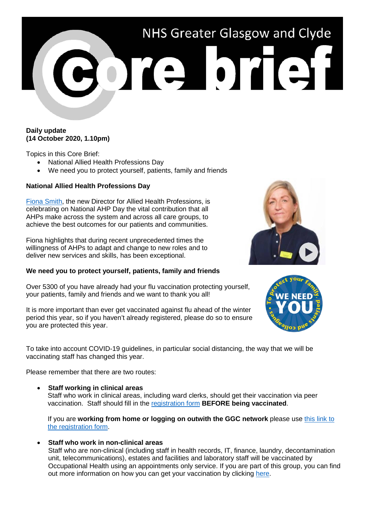## NHS Greater Glasgow and Clyde ore brief

## **Daily update (14 October 2020, 1.10pm)**

Topics in this Core Brief:

- National Allied Health Professions Day
- We need you to protect yourself, patients, family and friends

## **National Allied Health Professions Day**

[Fiona Smith,](https://www.youtube.com/watch?v=czSyhfjwx_w) the new Director for Allied Health Professions, is celebrating on National AHP Day the vital contribution that all AHPs make across the system and across all care groups, to achieve the best outcomes for our patients and communities.

Fiona highlights that during recent unprecedented times the willingness of AHPs to adapt and change to new roles and to deliver new services and skills, has been exceptional.

## **We need you to protect yourself, patients, family and friends**

Over 5300 of you have already had your flu vaccination protecting yourself, your patients, family and friends and we want to thank you all!

It is more important than ever get vaccinated against flu ahead of the winter period this year, so if you haven't already registered, please do so to ensure you are protected this year.

To take into account COVID-19 guidelines, in particular social distancing, the way that we will be vaccinating staff has changed this year.

Please remember that there are two routes:

• **Staff working in clinical areas**

Staff who work in clinical areas, including ward clerks, should get their vaccination via peer vaccination. Staff should fill in the [registration form](https://ggcflu.azurewebsites.net/) **BEFORE being vaccinated**.

If you are **working from home or logging on outwith the GGC network** please use [this link to](https://forms.office.com/Pages/ResponsePage.aspx?id=veDvEDCgykuAnLXmdF5JmgW9YoY5w-BDlHK7ghonYUBUM0VUN0ExSFI4UkZaRFlKREFJTlZWTDhaOSQlQCN0PWcu)  [the registration form.](https://forms.office.com/Pages/ResponsePage.aspx?id=veDvEDCgykuAnLXmdF5JmgW9YoY5w-BDlHK7ghonYUBUM0VUN0ExSFI4UkZaRFlKREFJTlZWTDhaOSQlQCN0PWcu)

• **Staff who work in non-clinical areas**

Staff who are non-clinical (including staff in health records, IT, finance, laundry, decontamination unit, telecommunications), estates and facilities and laboratory staff will be vaccinated by Occupational Health using an appointments only service. If you are part of this group, you can find out more information on how you can get your vaccination by clicking [here.](https://www.nhsggc.org.uk/working-with-us/hr-connect/occupational-health/staff-flu-vaccination-programme-2020-2021/non-clinical-areas/sessions-for-non-clinical-staff/)